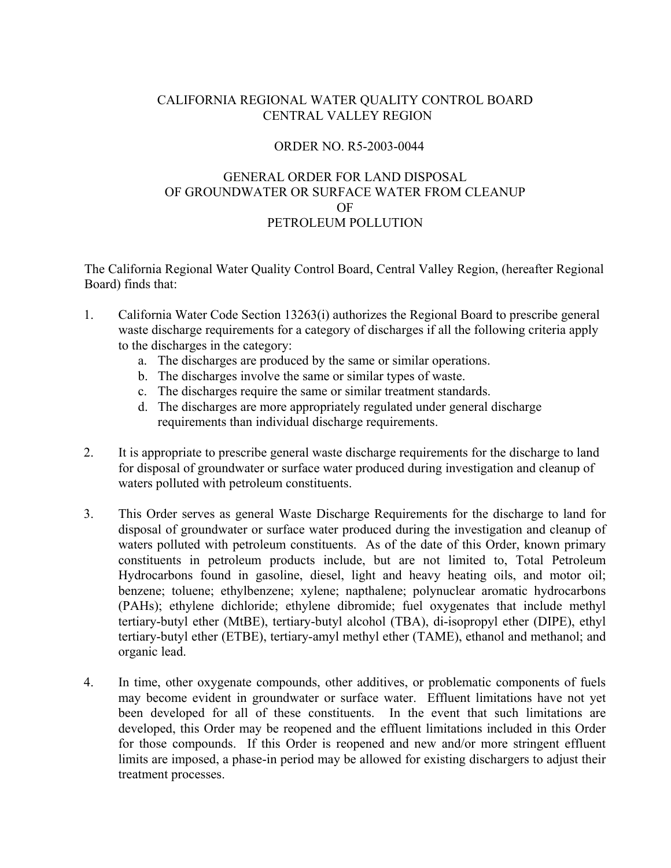# CALIFORNIA REGIONAL WATER QUALITY CONTROL BOARD CENTRAL VALLEY REGION

# ORDER NO. R5-2003-0044

# GENERAL ORDER FOR LAND DISPOSAL OF GROUNDWATER OR SURFACE WATER FROM CLEANUP OF PETROLEUM POLLUTION

The California Regional Water Quality Control Board, Central Valley Region, (hereafter Regional Board) finds that:

- 1. California Water Code Section 13263(i) authorizes the Regional Board to prescribe general waste discharge requirements for a category of discharges if all the following criteria apply to the discharges in the category:
	- a. The discharges are produced by the same or similar operations.
	- b. The discharges involve the same or similar types of waste.
	- c. The discharges require the same or similar treatment standards.
	- d. The discharges are more appropriately regulated under general discharge requirements than individual discharge requirements.
- 2. It is appropriate to prescribe general waste discharge requirements for the discharge to land for disposal of groundwater or surface water produced during investigation and cleanup of waters polluted with petroleum constituents.
- 3. This Order serves as general Waste Discharge Requirements for the discharge to land for disposal of groundwater or surface water produced during the investigation and cleanup of waters polluted with petroleum constituents. As of the date of this Order, known primary constituents in petroleum products include, but are not limited to, Total Petroleum Hydrocarbons found in gasoline, diesel, light and heavy heating oils, and motor oil; benzene; toluene; ethylbenzene; xylene; napthalene; polynuclear aromatic hydrocarbons (PAHs); ethylene dichloride; ethylene dibromide; fuel oxygenates that include methyl tertiary-butyl ether (MtBE), tertiary-butyl alcohol (TBA), di-isopropyl ether (DIPE), ethyl tertiary-butyl ether (ETBE), tertiary-amyl methyl ether (TAME), ethanol and methanol; and organic lead.
- 4. In time, other oxygenate compounds, other additives, or problematic components of fuels may become evident in groundwater or surface water. Effluent limitations have not yet been developed for all of these constituents. In the event that such limitations are developed, this Order may be reopened and the effluent limitations included in this Order for those compounds. If this Order is reopened and new and/or more stringent effluent limits are imposed, a phase-in period may be allowed for existing dischargers to adjust their treatment processes.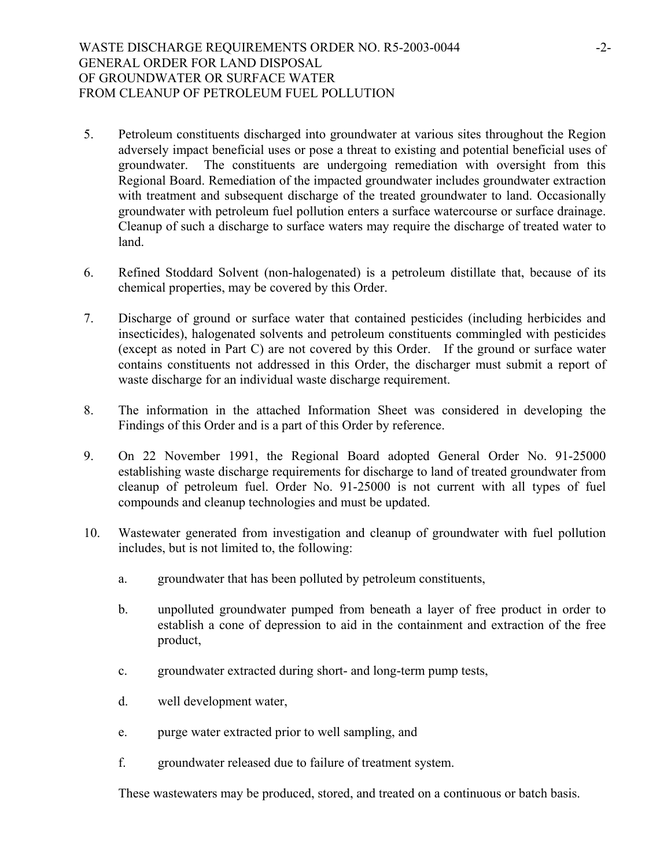- 5. Petroleum constituents discharged into groundwater at various sites throughout the Region adversely impact beneficial uses or pose a threat to existing and potential beneficial uses of groundwater. The constituents are undergoing remediation with oversight from this Regional Board. Remediation of the impacted groundwater includes groundwater extraction with treatment and subsequent discharge of the treated groundwater to land. Occasionally groundwater with petroleum fuel pollution enters a surface watercourse or surface drainage. Cleanup of such a discharge to surface waters may require the discharge of treated water to land.
- 6. Refined Stoddard Solvent (non-halogenated) is a petroleum distillate that, because of its chemical properties, may be covered by this Order.
- 7. Discharge of ground or surface water that contained pesticides (including herbicides and insecticides), halogenated solvents and petroleum constituents commingled with pesticides (except as noted in Part C) are not covered by this Order. If the ground or surface water contains constituents not addressed in this Order, the discharger must submit a report of waste discharge for an individual waste discharge requirement.
- 8. The information in the attached Information Sheet was considered in developing the Findings of this Order and is a part of this Order by reference.
- 9. On 22 November 1991, the Regional Board adopted General Order No. 91-25000 establishing waste discharge requirements for discharge to land of treated groundwater from cleanup of petroleum fuel. Order No. 91-25000 is not current with all types of fuel compounds and cleanup technologies and must be updated.
- 10. Wastewater generated from investigation and cleanup of groundwater with fuel pollution includes, but is not limited to, the following:
	- a. groundwater that has been polluted by petroleum constituents,
	- b. unpolluted groundwater pumped from beneath a layer of free product in order to establish a cone of depression to aid in the containment and extraction of the free product,
	- c. groundwater extracted during short- and long-term pump tests,
	- d. well development water,
	- e. purge water extracted prior to well sampling, and
	- f. groundwater released due to failure of treatment system.

These wastewaters may be produced, stored, and treated on a continuous or batch basis.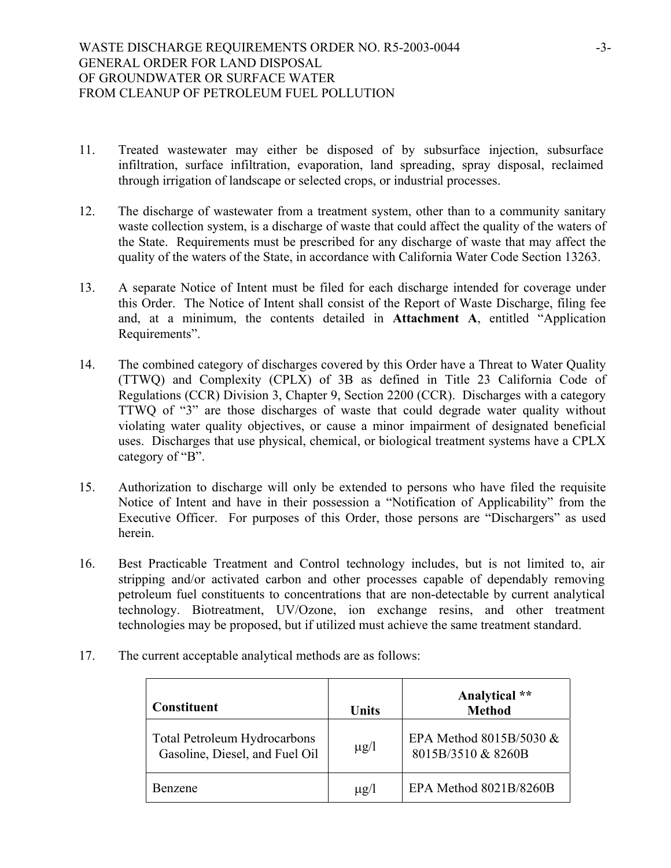- 11. Treated wastewater may either be disposed of by subsurface injection, subsurface infiltration, surface infiltration, evaporation, land spreading, spray disposal, reclaimed through irrigation of landscape or selected crops, or industrial processes.
- 12. The discharge of wastewater from a treatment system, other than to a community sanitary waste collection system, is a discharge of waste that could affect the quality of the waters of the State. Requirements must be prescribed for any discharge of waste that may affect the quality of the waters of the State, in accordance with California Water Code Section 13263.
- 13. A separate Notice of Intent must be filed for each discharge intended for coverage under this Order. The Notice of Intent shall consist of the Report of Waste Discharge, filing fee and, at a minimum, the contents detailed in **Attachment A**, entitled "Application Requirements".
- 14. The combined category of discharges covered by this Order have a Threat to Water Quality (TTWQ) and Complexity (CPLX) of 3B as defined in Title 23 California Code of Regulations (CCR) Division 3, Chapter 9, Section 2200 (CCR). Discharges with a category TTWQ of "3" are those discharges of waste that could degrade water quality without violating water quality objectives, or cause a minor impairment of designated beneficial uses. Discharges that use physical, chemical, or biological treatment systems have a CPLX category of "B".
- 15. Authorization to discharge will only be extended to persons who have filed the requisite Notice of Intent and have in their possession a "Notification of Applicability" from the Executive Officer. For purposes of this Order, those persons are "Dischargers" as used herein.
- 16. Best Practicable Treatment and Control technology includes, but is not limited to, air stripping and/or activated carbon and other processes capable of dependably removing petroleum fuel constituents to concentrations that are non-detectable by current analytical technology. Biotreatment, UV/Ozone, ion exchange resins, and other treatment technologies may be proposed, but if utilized must achieve the same treatment standard.
- 17. The current acceptable analytical methods are as follows:

| <b>Constituent</b>                                                    | Units     | Analytical **<br><b>Method</b>                |
|-----------------------------------------------------------------------|-----------|-----------------------------------------------|
| <b>Total Petroleum Hydrocarbons</b><br>Gasoline, Diesel, and Fuel Oil | $\mu$ g/l | EPA Method 8015B/5030 &<br>8015B/3510 & 8260B |
| Benzene                                                               | $\mu$ g/l | EPA Method 8021B/8260B                        |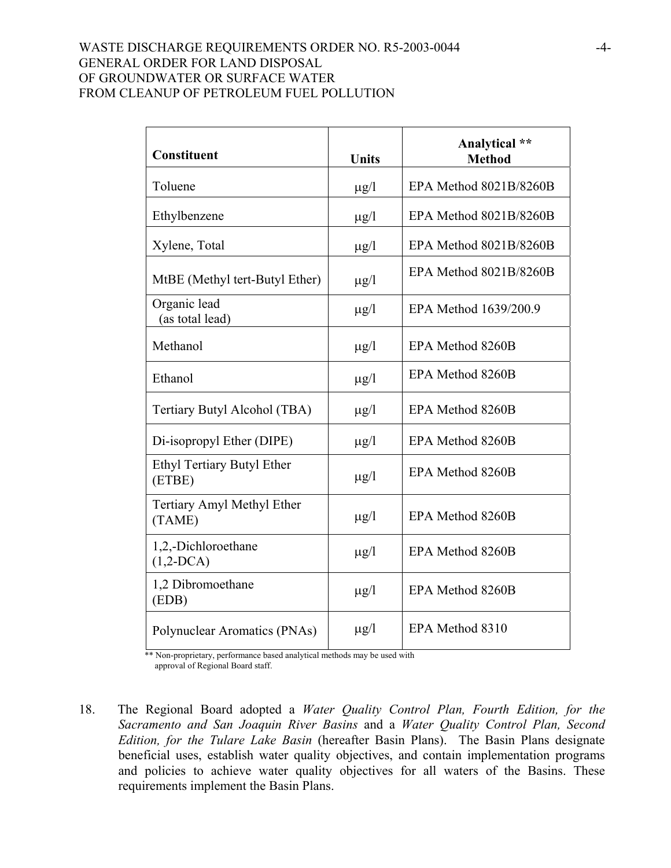# WASTE DISCHARGE REQUIREMENTS ORDER NO. R5-2003-0044 GENERAL ORDER FOR LAND DISPOSAL OF GROUNDWATER OR SURFACE WATER FROM CLEANUP OF PETROLEUM FUEL POLLUTION

| <b>Constituent</b>                   | <b>Units</b> | Analytical **<br><b>Method</b> |
|--------------------------------------|--------------|--------------------------------|
| Toluene                              | $\mu$ g/l    | EPA Method 8021B/8260B         |
| Ethylbenzene                         | $\mu$ g/l    | EPA Method 8021B/8260B         |
| Xylene, Total                        | $\mu$ g/l    | EPA Method 8021B/8260B         |
| MtBE (Methyl tert-Butyl Ether)       | $\mu$ g/l    | EPA Method 8021B/8260B         |
| Organic lead<br>(as total lead)      | $\mu$ g/l    | EPA Method 1639/200.9          |
| Methanol                             | $\mu$ g/l    | EPA Method 8260B               |
| Ethanol                              | $\mu$ g/l    | EPA Method 8260B               |
| Tertiary Butyl Alcohol (TBA)         | $\mu$ g/l    | EPA Method 8260B               |
| Di-isopropyl Ether (DIPE)            | $\mu$ g/l    | EPA Method 8260B               |
| Ethyl Tertiary Butyl Ether<br>(ETBE) | $\mu$ g/l    | EPA Method 8260B               |
| Tertiary Amyl Methyl Ether<br>(TAME) | $\mu$ g/l    | EPA Method 8260B               |
| 1,2,-Dichloroethane<br>$(1,2-DCA)$   | $\mu$ g/l    | EPA Method 8260B               |
| 1,2 Dibromoethane<br>(EDB)           | $\mu$ g/l    | EPA Method 8260B               |
| Polynuclear Aromatics (PNAs)         | $\mu$ g/l    | EPA Method 8310                |

 \*\* Non-proprietary, performance based analytical methods may be used with approval of Regional Board staff.

18. The Regional Board adopted a *Water Quality Control Plan, Fourth Edition, for the Sacramento and San Joaquin River Basins* and a *Water Quality Control Plan, Second Edition, for the Tulare Lake Basin* (hereafter Basin Plans). The Basin Plans designate beneficial uses, establish water quality objectives, and contain implementation programs and policies to achieve water quality objectives for all waters of the Basins. These requirements implement the Basin Plans.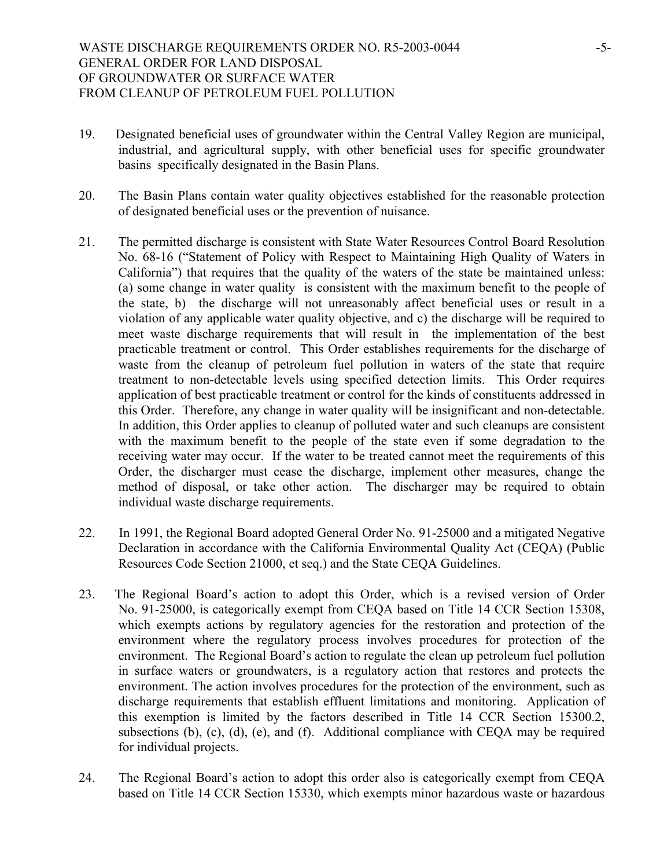- 19. Designated beneficial uses of groundwater within the Central Valley Region are municipal, industrial, and agricultural supply, with other beneficial uses for specific groundwater basins specifically designated in the Basin Plans.
- 20. The Basin Plans contain water quality objectives established for the reasonable protection of designated beneficial uses or the prevention of nuisance.
- 21. The permitted discharge is consistent with State Water Resources Control Board Resolution No. 68-16 ("Statement of Policy with Respect to Maintaining High Quality of Waters in California") that requires that the quality of the waters of the state be maintained unless: (a) some change in water quality is consistent with the maximum benefit to the people of the state, b) the discharge will not unreasonably affect beneficial uses or result in a violation of any applicable water quality objective, and c) the discharge will be required to meet waste discharge requirements that will result in the implementation of the best practicable treatment or control. This Order establishes requirements for the discharge of waste from the cleanup of petroleum fuel pollution in waters of the state that require treatment to non-detectable levels using specified detection limits. This Order requires application of best practicable treatment or control for the kinds of constituents addressed in this Order. Therefore, any change in water quality will be insignificant and non-detectable. In addition, this Order applies to cleanup of polluted water and such cleanups are consistent with the maximum benefit to the people of the state even if some degradation to the receiving water may occur. If the water to be treated cannot meet the requirements of this Order, the discharger must cease the discharge, implement other measures, change the method of disposal, or take other action. The discharger may be required to obtain individual waste discharge requirements.
- 22. In 1991, the Regional Board adopted General Order No. 91-25000 and a mitigated Negative Declaration in accordance with the California Environmental Quality Act (CEQA) (Public Resources Code Section 21000, et seq.) and the State CEQA Guidelines.
- 23. The Regional Board's action to adopt this Order, which is a revised version of Order No. 91-25000, is categorically exempt from CEQA based on Title 14 CCR Section 15308, which exempts actions by regulatory agencies for the restoration and protection of the environment where the regulatory process involves procedures for protection of the environment. The Regional Board's action to regulate the clean up petroleum fuel pollution in surface waters or groundwaters, is a regulatory action that restores and protects the environment. The action involves procedures for the protection of the environment, such as discharge requirements that establish effluent limitations and monitoring. Application of this exemption is limited by the factors described in Title 14 CCR Section 15300.2, subsections (b), (c), (d), (e), and (f). Additional compliance with CEQA may be required for individual projects.
- 24. The Regional Board's action to adopt this order also is categorically exempt from CEQA based on Title 14 CCR Section 15330, which exempts minor hazardous waste or hazardous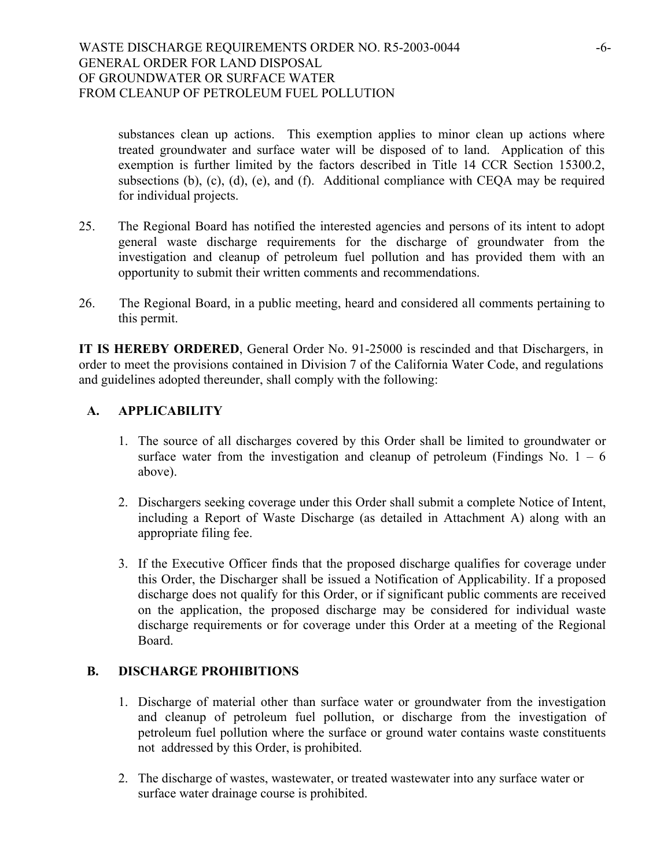substances clean up actions. This exemption applies to minor clean up actions where treated groundwater and surface water will be disposed of to land. Application of this exemption is further limited by the factors described in Title 14 CCR Section 15300.2, subsections (b), (c), (d), (e), and (f). Additional compliance with CEQA may be required for individual projects.

- 25. The Regional Board has notified the interested agencies and persons of its intent to adopt general waste discharge requirements for the discharge of groundwater from the investigation and cleanup of petroleum fuel pollution and has provided them with an opportunity to submit their written comments and recommendations.
- 26. The Regional Board, in a public meeting, heard and considered all comments pertaining to this permit.

**IT IS HEREBY ORDERED**, General Order No. 91-25000 is rescinded and that Dischargers, in order to meet the provisions contained in Division 7 of the California Water Code, and regulations and guidelines adopted thereunder, shall comply with the following:

# **A. APPLICABILITY**

- 1. The source of all discharges covered by this Order shall be limited to groundwater or surface water from the investigation and cleanup of petroleum (Findings No.  $1 - 6$ ) above).
- 2. Dischargers seeking coverage under this Order shall submit a complete Notice of Intent, including a Report of Waste Discharge (as detailed in Attachment A) along with an appropriate filing fee.
- 3. If the Executive Officer finds that the proposed discharge qualifies for coverage under this Order, the Discharger shall be issued a Notification of Applicability. If a proposed discharge does not qualify for this Order, or if significant public comments are received on the application, the proposed discharge may be considered for individual waste discharge requirements or for coverage under this Order at a meeting of the Regional Board.

## **B. DISCHARGE PROHIBITIONS**

- 1. Discharge of material other than surface water or groundwater from the investigation and cleanup of petroleum fuel pollution, or discharge from the investigation of petroleum fuel pollution where the surface or ground water contains waste constituents not addressed by this Order, is prohibited.
- 2. The discharge of wastes, wastewater, or treated wastewater into any surface water or surface water drainage course is prohibited.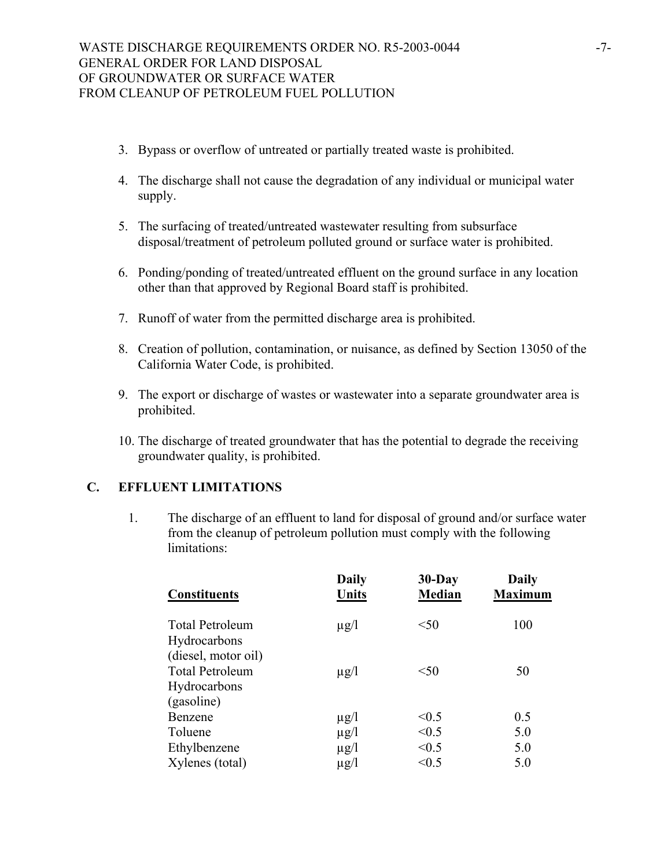- 3. Bypass or overflow of untreated or partially treated waste is prohibited.
- 4. The discharge shall not cause the degradation of any individual or municipal water supply.
- 5. The surfacing of treated/untreated wastewater resulting from subsurface disposal/treatment of petroleum polluted ground or surface water is prohibited.
- 6. Ponding/ponding of treated/untreated effluent on the ground surface in any location other than that approved by Regional Board staff is prohibited.
- 7. Runoff of water from the permitted discharge area is prohibited.
- 8. Creation of pollution, contamination, or nuisance, as defined by Section 13050 of the California Water Code, is prohibited.
- 9. The export or discharge of wastes or wastewater into a separate groundwater area is prohibited.
- 10. The discharge of treated groundwater that has the potential to degrade the receiving groundwater quality, is prohibited.

# **C. EFFLUENT LIMITATIONS**

1. The discharge of an effluent to land for disposal of ground and/or surface water from the cleanup of petroleum pollution must comply with the following limitations:

| 100 |
|-----|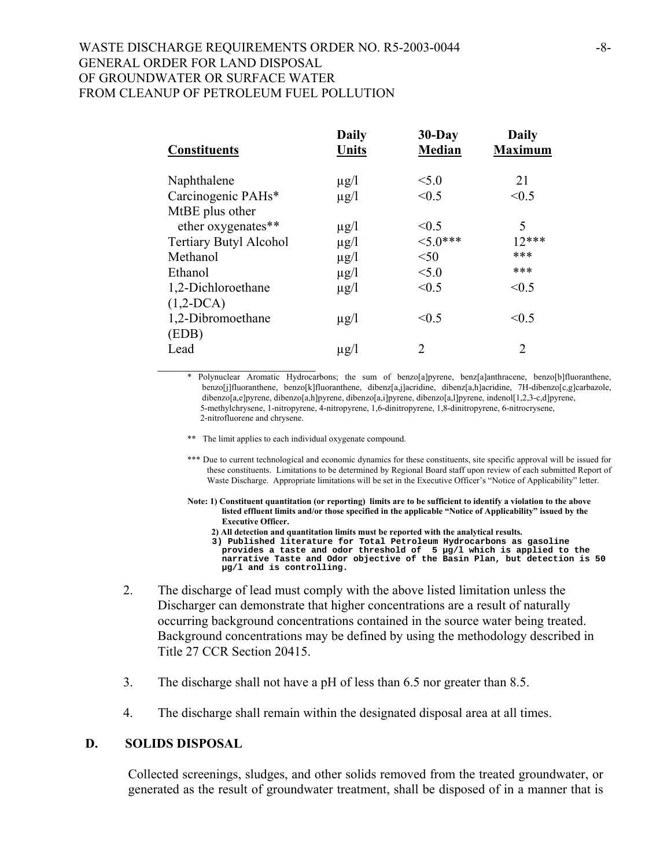## WASTE DISCHARGE REQUIREMENTS ORDER NO. R5-2003-0044 GENERAL ORDER FOR LAND DISPOSAL OF GROUNDWATER OR SURFACE WATER FROM CLEANUP OF PETROLEUM FUEL POLLUTION

| <b>Constituents</b>           | <b>Daily</b><br><b>Units</b> | $30$ -Day<br><b>Median</b>  | <b>Daily</b><br><b>Maximum</b> |
|-------------------------------|------------------------------|-----------------------------|--------------------------------|
| Naphthalene                   | $\mu$ g/l                    | < 5.0                       | 21                             |
| Carcinogenic PAHs*            | $\mu$ g/l                    | < 0.5                       | < 0.5                          |
| MtBE plus other               |                              |                             |                                |
| ether oxygenates**            | $\mu$ g/l                    | < 0.5                       | 5                              |
| <b>Tertiary Butyl Alcohol</b> | $\mu$ g/l                    | $5.0***$                    | $12***$                        |
| Methanol                      | $\mu$ g/l                    | < 50                        | ***                            |
| Ethanol                       | $\mu$ g/l                    | < 5.0                       | ***                            |
| 1,2-Dichloroethane            | $\mu$ g/l                    | < 0.5                       | < 0.5                          |
| $(1,2-DCA)$                   |                              |                             |                                |
| 1,2-Dibromoethane             | $\mu$ g/l                    | < 0.5                       | < 0.5                          |
| (EDB)                         |                              |                             |                                |
| Lead                          | $\mu$ g/l                    | $\mathcal{D}_{\mathcal{A}}$ | $\mathfrak{D}_{\mathfrak{p}}$  |

\_\_\_\_\_\_\_\_\_\_\_\_\_\_\_\_\_\_\_\_\_\_\_\_ \* Polynuclear Aromatic Hydrocarbons; the sum of benzo[a]pyrene, benz[a]anthracene, benzo[b]fluoranthene, benzo[j]fluoranthene, benzo[k]fluoranthene, dibenz[a,j]acridine, dibenz[a,h]acridine, 7H-dibenzo[c,g]carbazole, dibenzo[a,e]pyrene, dibenzo[a,h]pyrene, dibenzo[a,i]pyrene, dibenzo[a,l]pyrene, indenol[1,2,3-c,d]pyrene, 5-methylchrysene, 1-nitropyrene, 4-nitropyrene, 1,6-dinitropyrene, 1,8-dinitropyrene, 6-nitrocrysene, 2-nitrofluorene and chrysene.

- \*\* The limit applies to each individual oxygenate compound.
- \*\*\* Due to current technological and economic dynamics for these constituents, site specific approval will be issued for these constituents. Limitations to be determined by Regional Board staff upon review of each submitted Report of Waste Discharge. Appropriate limitations will be set in the Executive Officer's "Notice of Applicability" letter.
- **Note: 1) Constituent quantitation (or reporting) limits are to be sufficient to identify a violation to the above listed effluent limits and/or those specified in the applicable "Notice of Applicability" issued by the Executive Officer.**
	- **2) All detection and quantitation limits must be reported with the analytical results.**

 **3) Published literature for Total Petroleum Hydrocarbons as gasoline provides a taste and odor threshold of 5 µg/l which is applied to the narrative Taste and Odor objective of the Basin Plan, but detection is 50 µg/l and is controlling.** 

- 2. The discharge of lead must comply with the above listed limitation unless the Discharger can demonstrate that higher concentrations are a result of naturally occurring background concentrations contained in the source water being treated. Background concentrations may be defined by using the methodology described in Title 27 CCR Section 20415.
- 3. The discharge shall not have a pH of less than 6.5 nor greater than 8.5.
- 4. The discharge shall remain within the designated disposal area at all times.

## **D. SOLIDS DISPOSAL**

Collected screenings, sludges, and other solids removed from the treated groundwater, or generated as the result of groundwater treatment, shall be disposed of in a manner that is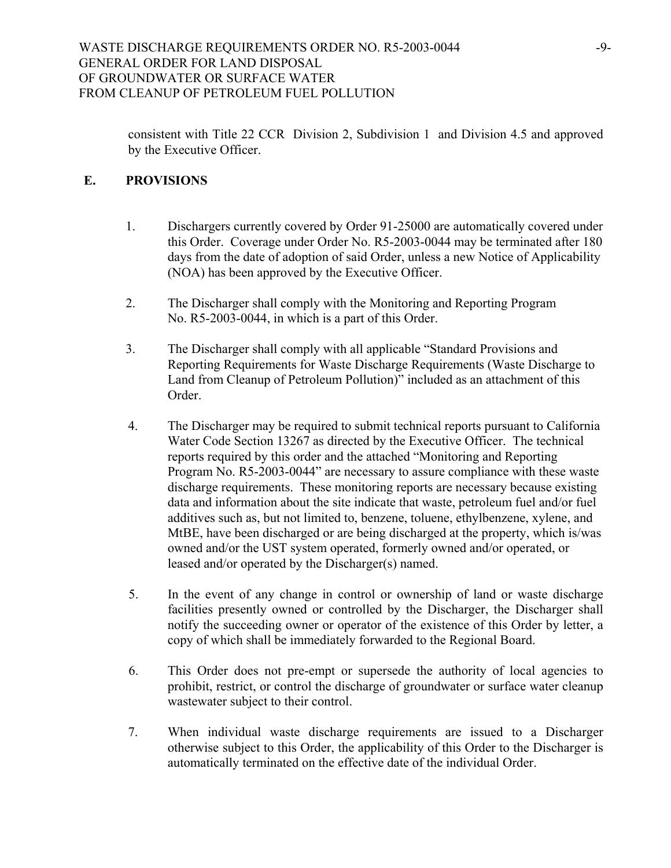consistent with Title 22 CCR Division 2, Subdivision 1 and Division 4.5 and approved by the Executive Officer.

# **E. PROVISIONS**

- 1. Dischargers currently covered by Order 91-25000 are automatically covered under this Order. Coverage under Order No. R5-2003-0044 may be terminated after 180 days from the date of adoption of said Order, unless a new Notice of Applicability (NOA) has been approved by the Executive Officer.
- 2. The Discharger shall comply with the Monitoring and Reporting Program No. R5-2003-0044, in which is a part of this Order.
- 3. The Discharger shall comply with all applicable "Standard Provisions and Reporting Requirements for Waste Discharge Requirements (Waste Discharge to Land from Cleanup of Petroleum Pollution)" included as an attachment of this Order.
- 4. The Discharger may be required to submit technical reports pursuant to California Water Code Section 13267 as directed by the Executive Officer. The technical reports required by this order and the attached "Monitoring and Reporting Program No. R5-2003-0044" are necessary to assure compliance with these waste discharge requirements. These monitoring reports are necessary because existing data and information about the site indicate that waste, petroleum fuel and/or fuel additives such as, but not limited to, benzene, toluene, ethylbenzene, xylene, and MtBE, have been discharged or are being discharged at the property, which is/was owned and/or the UST system operated, formerly owned and/or operated, or leased and/or operated by the Discharger(s) named.
- 5. In the event of any change in control or ownership of land or waste discharge facilities presently owned or controlled by the Discharger, the Discharger shall notify the succeeding owner or operator of the existence of this Order by letter, a copy of which shall be immediately forwarded to the Regional Board.
- 6. This Order does not pre-empt or supersede the authority of local agencies to prohibit, restrict, or control the discharge of groundwater or surface water cleanup wastewater subject to their control.
- 7. When individual waste discharge requirements are issued to a Discharger otherwise subject to this Order, the applicability of this Order to the Discharger is automatically terminated on the effective date of the individual Order.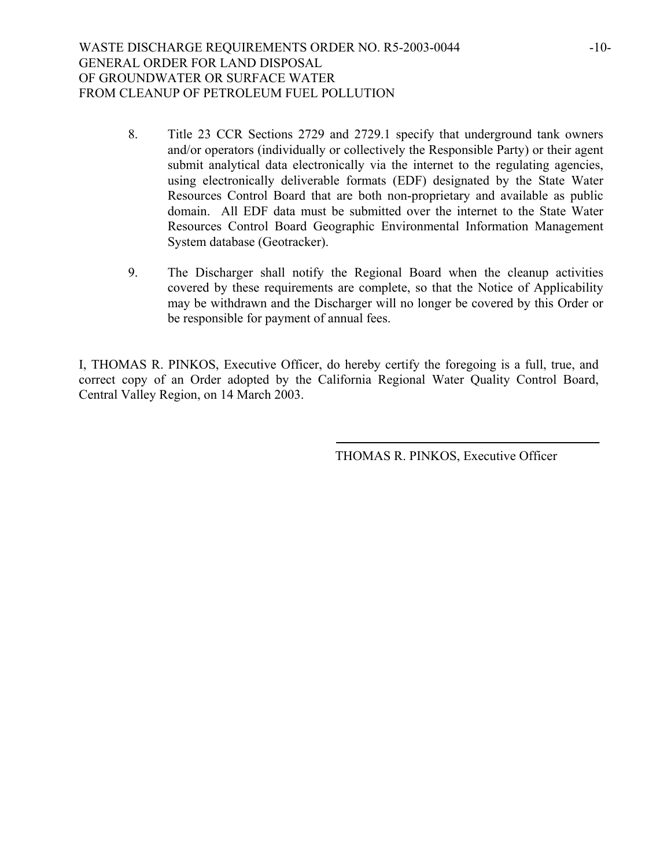- 8. Title 23 CCR Sections 2729 and 2729.1 specify that underground tank owners and/or operators (individually or collectively the Responsible Party) or their agent submit analytical data electronically via the internet to the regulating agencies, using electronically deliverable formats (EDF) designated by the State Water Resources Control Board that are both non-proprietary and available as public domain. All EDF data must be submitted over the internet to the State Water Resources Control Board Geographic Environmental Information Management System database (Geotracker).
- 9. The Discharger shall notify the Regional Board when the cleanup activities covered by these requirements are complete, so that the Notice of Applicability may be withdrawn and the Discharger will no longer be covered by this Order or be responsible for payment of annual fees.

I, THOMAS R. PINKOS, Executive Officer, do hereby certify the foregoing is a full, true, and correct copy of an Order adopted by the California Regional Water Quality Control Board, Central Valley Region, on 14 March 2003.

THOMAS R. PINKOS, Executive Officer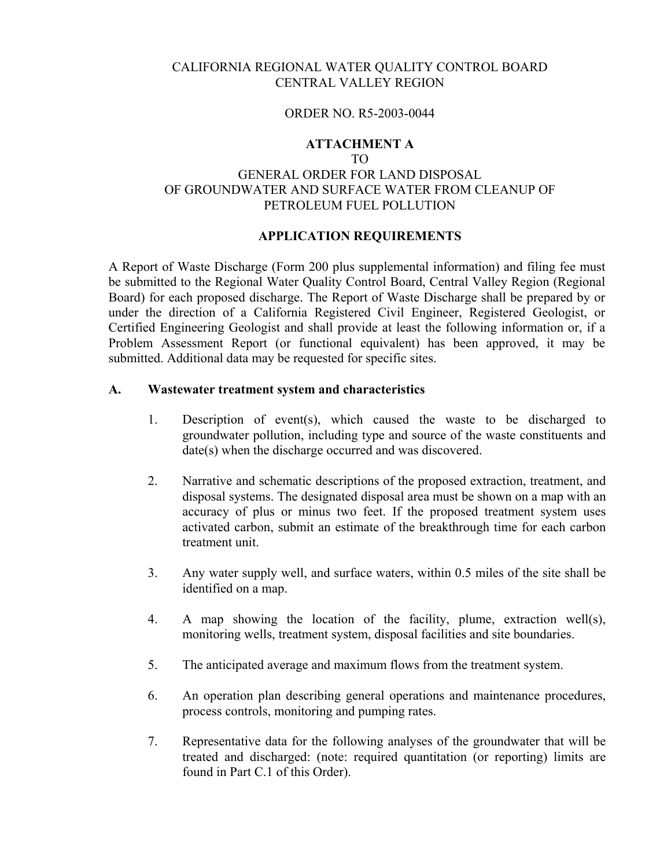# CALIFORNIA REGIONAL WATER QUALITY CONTROL BOARD CENTRAL VALLEY REGION

#### ORDER NO. R5-2003-0044

## **ATTACHMENT A**

# TO GENERAL ORDER FOR LAND DISPOSAL OF GROUNDWATER AND SURFACE WATER FROM CLEANUP OF PETROLEUM FUEL POLLUTION

## **APPLICATION REQUIREMENTS**

A Report of Waste Discharge (Form 200 plus supplemental information) and filing fee must be submitted to the Regional Water Quality Control Board, Central Valley Region (Regional Board) for each proposed discharge. The Report of Waste Discharge shall be prepared by or under the direction of a California Registered Civil Engineer, Registered Geologist, or Certified Engineering Geologist and shall provide at least the following information or, if a Problem Assessment Report (or functional equivalent) has been approved, it may be submitted. Additional data may be requested for specific sites.

## **A. Wastewater treatment system and characteristics**

- 1. Description of event(s), which caused the waste to be discharged to groundwater pollution, including type and source of the waste constituents and date(s) when the discharge occurred and was discovered.
- 2. Narrative and schematic descriptions of the proposed extraction, treatment, and disposal systems. The designated disposal area must be shown on a map with an accuracy of plus or minus two feet. If the proposed treatment system uses activated carbon, submit an estimate of the breakthrough time for each carbon treatment unit.
- 3. Any water supply well, and surface waters, within 0.5 miles of the site shall be identified on a map.
- 4. A map showing the location of the facility, plume, extraction well(s), monitoring wells, treatment system, disposal facilities and site boundaries.
- 5. The anticipated average and maximum flows from the treatment system.
- 6. An operation plan describing general operations and maintenance procedures, process controls, monitoring and pumping rates.
- 7. Representative data for the following analyses of the groundwater that will be treated and discharged: (note: required quantitation (or reporting) limits are found in Part C.1 of this Order).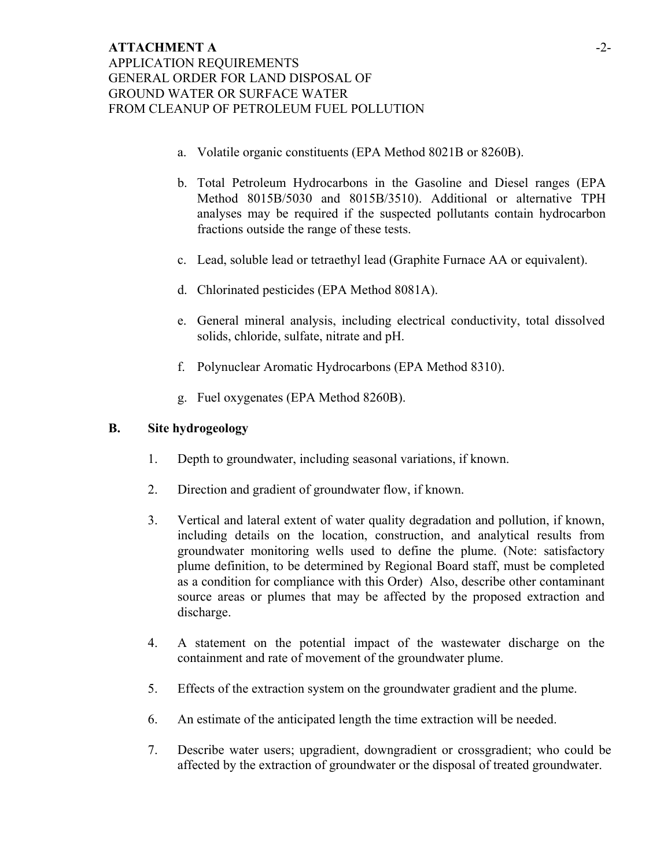- a. Volatile organic constituents (EPA Method 8021B or 8260B).
- b. Total Petroleum Hydrocarbons in the Gasoline and Diesel ranges (EPA Method 8015B/5030 and 8015B/3510). Additional or alternative TPH analyses may be required if the suspected pollutants contain hydrocarbon fractions outside the range of these tests.
- c. Lead, soluble lead or tetraethyl lead (Graphite Furnace AA or equivalent).
- d. Chlorinated pesticides (EPA Method 8081A).
- e. General mineral analysis, including electrical conductivity, total dissolved solids, chloride, sulfate, nitrate and pH.
- f. Polynuclear Aromatic Hydrocarbons (EPA Method 8310).
- g. Fuel oxygenates (EPA Method 8260B).

## **B. Site hydrogeology**

- 1. Depth to groundwater, including seasonal variations, if known.
- 2. Direction and gradient of groundwater flow, if known.
- 3. Vertical and lateral extent of water quality degradation and pollution, if known, including details on the location, construction, and analytical results from groundwater monitoring wells used to define the plume. (Note: satisfactory plume definition, to be determined by Regional Board staff, must be completed as a condition for compliance with this Order) Also, describe other contaminant source areas or plumes that may be affected by the proposed extraction and discharge.
- 4. A statement on the potential impact of the wastewater discharge on the containment and rate of movement of the groundwater plume.
- 5. Effects of the extraction system on the groundwater gradient and the plume.
- 6. An estimate of the anticipated length the time extraction will be needed.
- 7. Describe water users; upgradient, downgradient or crossgradient; who could be affected by the extraction of groundwater or the disposal of treated groundwater.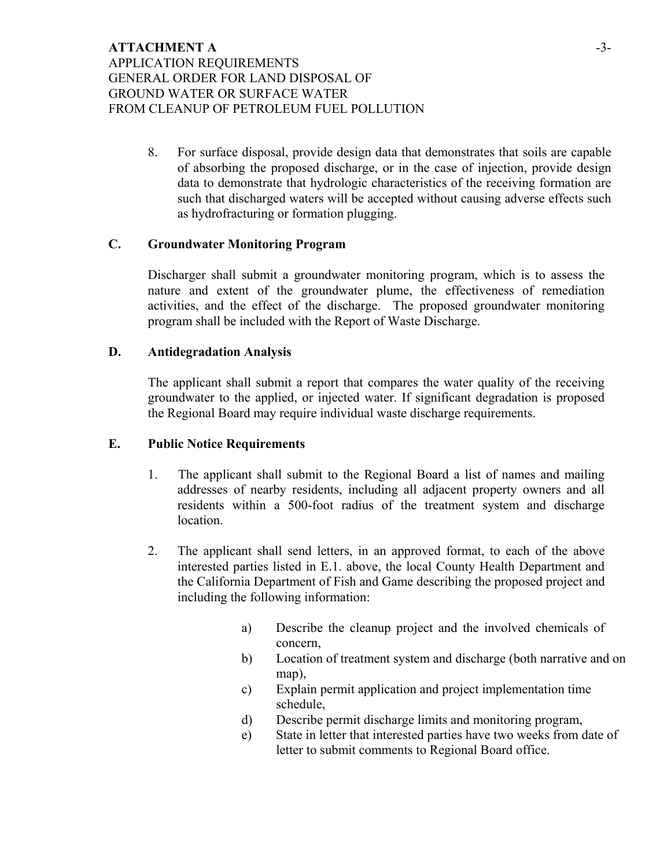# **ATTACHMENT A**  APPLICATION REQUIREMENTS GENERAL ORDER FOR LAND DISPOSAL OF GROUND WATER OR SURFACE WATER FROM CLEANUP OF PETROLEUM FUEL POLLUTION

8. For surface disposal, provide design data that demonstrates that soils are capable of absorbing the proposed discharge, or in the case of injection, provide design data to demonstrate that hydrologic characteristics of the receiving formation are such that discharged waters will be accepted without causing adverse effects such as hydrofracturing or formation plugging.

## **C. Groundwater Monitoring Program**

Discharger shall submit a groundwater monitoring program, which is to assess the nature and extent of the groundwater plume, the effectiveness of remediation activities, and the effect of the discharge. The proposed groundwater monitoring program shall be included with the Report of Waste Discharge.

#### **D. Antidegradation Analysis**

The applicant shall submit a report that compares the water quality of the receiving groundwater to the applied, or injected water. If significant degradation is proposed the Regional Board may require individual waste discharge requirements.

#### **E. Public Notice Requirements**

- 1. The applicant shall submit to the Regional Board a list of names and mailing addresses of nearby residents, including all adjacent property owners and all residents within a 500-foot radius of the treatment system and discharge location.
- 2. The applicant shall send letters, in an approved format, to each of the above interested parties listed in E.1. above, the local County Health Department and the California Department of Fish and Game describing the proposed project and including the following information:
	- a) Describe the cleanup project and the involved chemicals of concern,
	- b) Location of treatment system and discharge (both narrative and on map),
	- c) Explain permit application and project implementation time schedule,
	- d) Describe permit discharge limits and monitoring program,
	- e) State in letter that interested parties have two weeks from date of letter to submit comments to Regional Board office.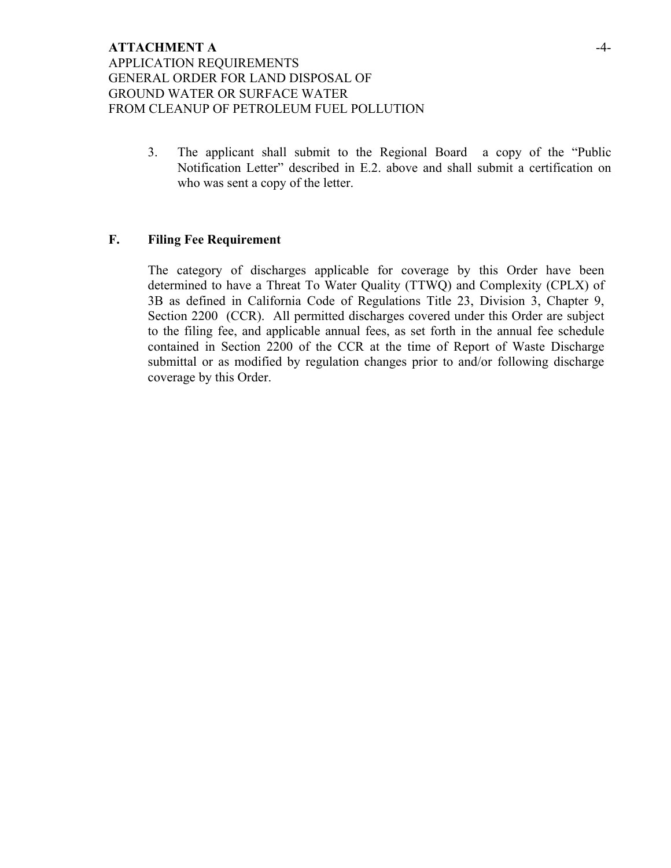3. The applicant shall submit to the Regional Board a copy of the "Public Notification Letter" described in E.2. above and shall submit a certification on who was sent a copy of the letter.

### **F. Filing Fee Requirement**

The category of discharges applicable for coverage by this Order have been determined to have a Threat To Water Quality (TTWQ) and Complexity (CPLX) of 3B as defined in California Code of Regulations Title 23, Division 3, Chapter 9, Section 2200 (CCR). All permitted discharges covered under this Order are subject to the filing fee, and applicable annual fees, as set forth in the annual fee schedule contained in Section 2200 of the CCR at the time of Report of Waste Discharge submittal or as modified by regulation changes prior to and/or following discharge coverage by this Order.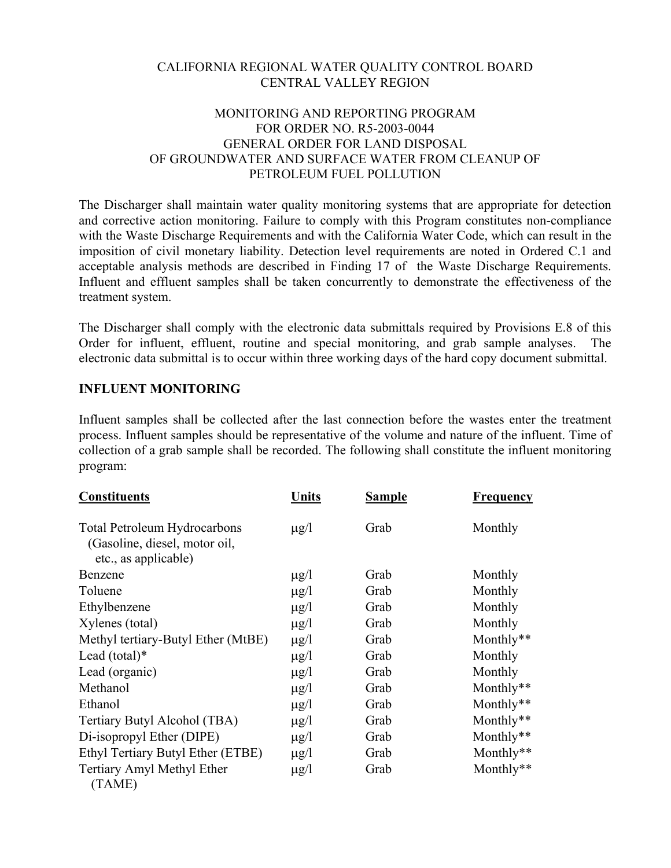# CALIFORNIA REGIONAL WATER QUALITY CONTROL BOARD CENTRAL VALLEY REGION

# MONITORING AND REPORTING PROGRAM FOR ORDER NO. R5-2003-0044 GENERAL ORDER FOR LAND DISPOSAL OF GROUNDWATER AND SURFACE WATER FROM CLEANUP OF PETROLEUM FUEL POLLUTION

The Discharger shall maintain water quality monitoring systems that are appropriate for detection and corrective action monitoring. Failure to comply with this Program constitutes non-compliance with the Waste Discharge Requirements and with the California Water Code, which can result in the imposition of civil monetary liability. Detection level requirements are noted in Ordered C.1 and acceptable analysis methods are described in Finding 17 of the Waste Discharge Requirements. Influent and effluent samples shall be taken concurrently to demonstrate the effectiveness of the treatment system.

The Discharger shall comply with the electronic data submittals required by Provisions E.8 of this Order for influent, effluent, routine and special monitoring, and grab sample analyses. The electronic data submittal is to occur within three working days of the hard copy document submittal.

# **INFLUENT MONITORING**

Influent samples shall be collected after the last connection before the wastes enter the treatment process. Influent samples should be representative of the volume and nature of the influent. Time of collection of a grab sample shall be recorded. The following shall constitute the influent monitoring program:

| <b>Constituents</b>                                                                          | Units     | <b>Sample</b> | <b>Frequency</b> |
|----------------------------------------------------------------------------------------------|-----------|---------------|------------------|
| <b>Total Petroleum Hydrocarbons</b><br>(Gasoline, diesel, motor oil,<br>etc., as applicable) | $\mu$ g/l | Grab          | Monthly          |
| Benzene                                                                                      | $\mu$ g/l | Grab          | Monthly          |
| Toluene                                                                                      | $\mu$ g/l | Grab          | Monthly          |
| Ethylbenzene                                                                                 | $\mu$ g/l | Grab          | Monthly          |
| Xylenes (total)                                                                              | $\mu$ g/l | Grab          | Monthly          |
| Methyl tertiary-Butyl Ether (MtBE)                                                           | $\mu$ g/l | Grab          | Monthly**        |
| Lead $(total)*$                                                                              | $\mu$ g/l | Grab          | Monthly          |
| Lead (organic)                                                                               | $\mu$ g/l | Grab          | Monthly          |
| Methanol                                                                                     | $\mu$ g/l | Grab          | Monthly**        |
| Ethanol                                                                                      | $\mu$ g/l | Grab          | Monthly**        |
| Tertiary Butyl Alcohol (TBA)                                                                 | $\mu$ g/l | Grab          | Monthly**        |
| Di-isopropyl Ether (DIPE)                                                                    | $\mu$ g/l | Grab          | Monthly**        |
| Ethyl Tertiary Butyl Ether (ETBE)                                                            | $\mu$ g/l | Grab          | Monthly**        |
| Tertiary Amyl Methyl Ether<br>(TAME)                                                         | $\mu$ g/l | Grab          | Monthly**        |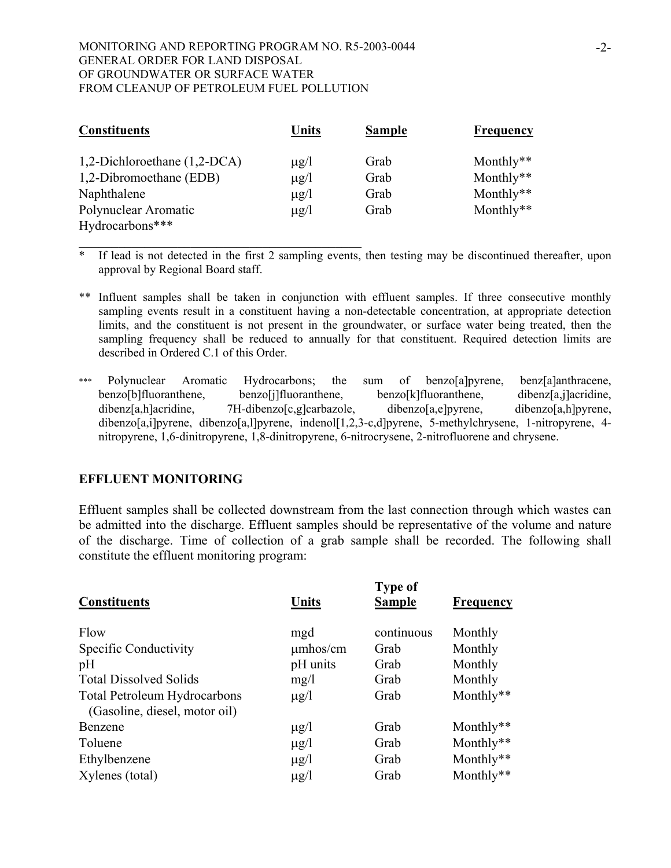\_\_\_\_\_\_\_\_\_\_\_\_\_\_\_\_\_\_\_\_\_\_\_\_\_\_\_\_\_\_\_\_\_\_\_\_\_\_\_\_\_\_\_

| <b>Constituents</b>          | <b>Units</b> | <b>Sample</b> | Frequency |
|------------------------------|--------------|---------------|-----------|
| 1,2-Dichloroethane (1,2-DCA) | $\mu$ g/l    | Grab          | Monthly** |
| 1,2-Dibromoethane (EDB)      | $\mu$ g/l    | Grab          | Monthly** |
| Naphthalene                  | $\mu$ g/l    | Grab          | Monthly** |
| Polynuclear Aromatic         | $\mu$ g/l    | Grab          | Monthly** |
| Hydrocarbons***              |              |               |           |

 $\overline{\text{F}}$  If lead is not detected in the first 2 sampling events, then testing may be discontinued thereafter, upon approval by Regional Board staff.

- \*\* Influent samples shall be taken in conjunction with effluent samples. If three consecutive monthly sampling events result in a constituent having a non-detectable concentration, at appropriate detection limits, and the constituent is not present in the groundwater, or surface water being treated, then the sampling frequency shall be reduced to annually for that constituent. Required detection limits are described in Ordered C.1 of this Order.
- \*\*\* Polynuclear Aromatic Hydrocarbons; the sum of benzo[a]pyrene, benz[a]anthracene, benzo[b]fluoranthene, benzo[j]fluoranthene, benzo[k]fluoranthene, dibenz[a,j]acridine, dibenz[a,h]acridine, 7H-dibenzo[c,g]carbazole, dibenzo[a,e]pyrene, dibenzo[a,h]pyrene, dibenzo[a,i]pyrene, dibenzo[a,l]pyrene, indenol[1,2,3-c,d]pyrene, 5-methylchrysene, 1-nitropyrene, 4nitropyrene, 1,6-dinitropyrene, 1,8-dinitropyrene, 6-nitrocrysene, 2-nitrofluorene and chrysene.

## **EFFLUENT MONITORING**

Effluent samples shall be collected downstream from the last connection through which wastes can be admitted into the discharge. Effluent samples should be representative of the volume and nature of the discharge. Time of collection of a grab sample shall be recorded. The following shall constitute the effluent monitoring program:

| <b>Constituents</b>                                                  | <b>Units</b>  | <b>Type of</b><br><b>Sample</b> | Frequency    |
|----------------------------------------------------------------------|---------------|---------------------------------|--------------|
| Flow                                                                 | mgd           | continuous                      | Monthly      |
| Specific Conductivity                                                | $\mu$ mhos/cm | Grab                            | Monthly      |
| pH                                                                   | pH units      | Grab                            | Monthly      |
| <b>Total Dissolved Solids</b>                                        | mg/l          | Grab                            | Monthly      |
| <b>Total Petroleum Hydrocarbons</b><br>(Gasoline, diesel, motor oil) | $\mu$ g/l     | Grab                            | Monthly**    |
| Benzene                                                              | $\mu$ g/l     | Grab                            | Monthly $**$ |
| Toluene                                                              | $\mu$ g/l     | Grab                            | Monthly**    |
| Ethylbenzene                                                         | $\mu$ g/l     | Grab                            | Monthly**    |
| Xylenes (total)                                                      | $\mu$ g/l     | Grab                            | Monthly**    |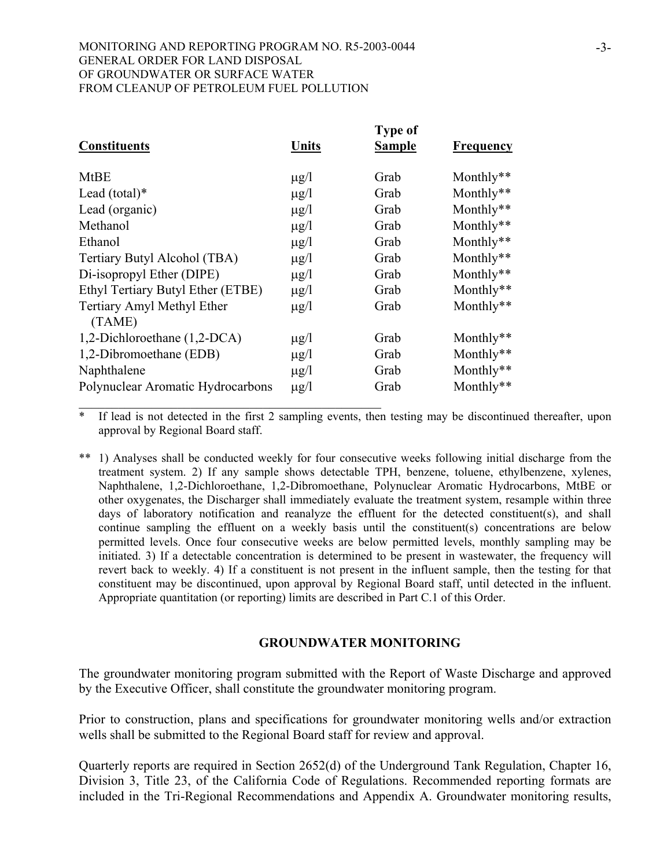| <b>Constituents</b>                  | Units     | <b>Type of</b><br><b>Sample</b> | <b>Frequency</b> |
|--------------------------------------|-----------|---------------------------------|------------------|
| <b>MtBE</b>                          | $\mu$ g/l | Grab                            | Monthly**        |
| Lead $(total)*$                      | $\mu$ g/l | Grab                            | Monthly**        |
| Lead (organic)                       | $\mu$ g/l | Grab                            | Monthly**        |
| Methanol                             | $\mu$ g/l | Grab                            | Monthly**        |
| Ethanol                              | $\mu$ g/l | Grab                            | Monthly**        |
| Tertiary Butyl Alcohol (TBA)         | $\mu$ g/l | Grab                            | Monthly**        |
| Di-isopropyl Ether (DIPE)            | $\mu$ g/l | Grab                            | Monthly**        |
| Ethyl Tertiary Butyl Ether (ETBE)    | $\mu$ g/l | Grab                            | Monthly**        |
| Tertiary Amyl Methyl Ether<br>(TAME) | $\mu$ g/l | Grab                            | Monthly**        |
| 1,2-Dichloroethane (1,2-DCA)         | $\mu$ g/l | Grab                            | Monthly $**$     |
| 1,2-Dibromoethane (EDB)              | $\mu$ g/l | Grab                            | Monthly**        |
| Naphthalene                          | $\mu$ g/l | Grab                            | Monthly**        |
| Polynuclear Aromatic Hydrocarbons    | $\mu$ g/l | Grab                            | Monthly**        |

If lead is not detected in the first 2 sampling events, then testing may be discontinued thereafter, upon approval by Regional Board staff.

\*\* 1) Analyses shall be conducted weekly for four consecutive weeks following initial discharge from the treatment system. 2) If any sample shows detectable TPH, benzene, toluene, ethylbenzene, xylenes, Naphthalene, 1,2-Dichloroethane, 1,2-Dibromoethane, Polynuclear Aromatic Hydrocarbons, MtBE or other oxygenates, the Discharger shall immediately evaluate the treatment system, resample within three days of laboratory notification and reanalyze the effluent for the detected constituent(s), and shall continue sampling the effluent on a weekly basis until the constituent(s) concentrations are below permitted levels. Once four consecutive weeks are below permitted levels, monthly sampling may be initiated. 3) If a detectable concentration is determined to be present in wastewater, the frequency will revert back to weekly. 4) If a constituent is not present in the influent sample, then the testing for that constituent may be discontinued, upon approval by Regional Board staff, until detected in the influent. Appropriate quantitation (or reporting) limits are described in Part C.1 of this Order.

## **GROUNDWATER MONITORING**

The groundwater monitoring program submitted with the Report of Waste Discharge and approved by the Executive Officer, shall constitute the groundwater monitoring program.

Prior to construction, plans and specifications for groundwater monitoring wells and/or extraction wells shall be submitted to the Regional Board staff for review and approval.

Quarterly reports are required in Section 2652(d) of the Underground Tank Regulation, Chapter 16, Division 3, Title 23, of the California Code of Regulations. Recommended reporting formats are included in the Tri-Regional Recommendations and Appendix A. Groundwater monitoring results,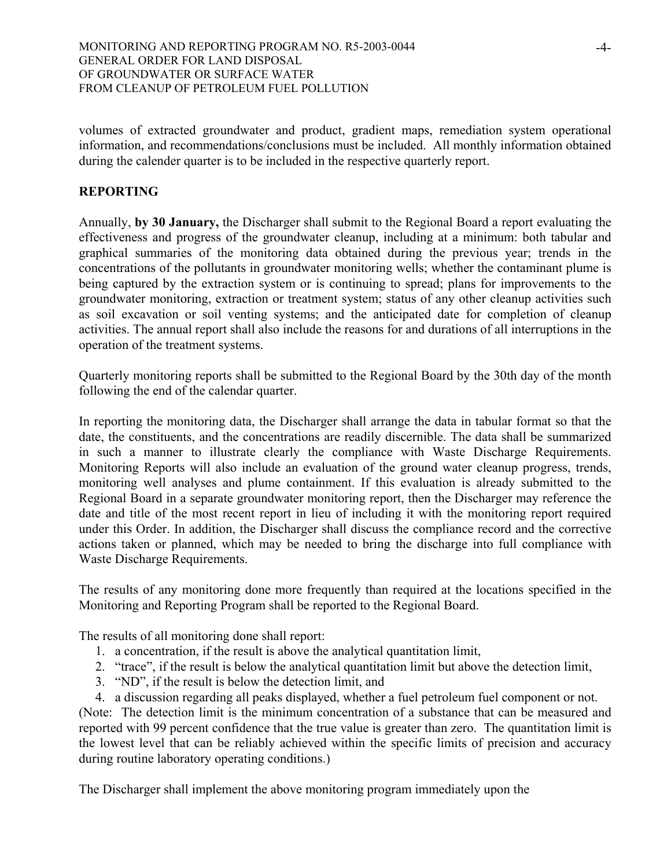volumes of extracted groundwater and product, gradient maps, remediation system operational information, and recommendations/conclusions must be included. All monthly information obtained during the calender quarter is to be included in the respective quarterly report.

# **REPORTING**

Annually, **by 30 January,** the Discharger shall submit to the Regional Board a report evaluating the effectiveness and progress of the groundwater cleanup, including at a minimum: both tabular and graphical summaries of the monitoring data obtained during the previous year; trends in the concentrations of the pollutants in groundwater monitoring wells; whether the contaminant plume is being captured by the extraction system or is continuing to spread; plans for improvements to the groundwater monitoring, extraction or treatment system; status of any other cleanup activities such as soil excavation or soil venting systems; and the anticipated date for completion of cleanup activities. The annual report shall also include the reasons for and durations of all interruptions in the operation of the treatment systems.

Quarterly monitoring reports shall be submitted to the Regional Board by the 30th day of the month following the end of the calendar quarter.

In reporting the monitoring data, the Discharger shall arrange the data in tabular format so that the date, the constituents, and the concentrations are readily discernible. The data shall be summarized in such a manner to illustrate clearly the compliance with Waste Discharge Requirements. Monitoring Reports will also include an evaluation of the ground water cleanup progress, trends, monitoring well analyses and plume containment. If this evaluation is already submitted to the Regional Board in a separate groundwater monitoring report, then the Discharger may reference the date and title of the most recent report in lieu of including it with the monitoring report required under this Order. In addition, the Discharger shall discuss the compliance record and the corrective actions taken or planned, which may be needed to bring the discharge into full compliance with Waste Discharge Requirements.

The results of any monitoring done more frequently than required at the locations specified in the Monitoring and Reporting Program shall be reported to the Regional Board.

The results of all monitoring done shall report:

- 1. a concentration, if the result is above the analytical quantitation limit,
- 2. "trace", if the result is below the analytical quantitation limit but above the detection limit,
- 3. "ND", if the result is below the detection limit, and
- 4. a discussion regarding all peaks displayed, whether a fuel petroleum fuel component or not.

(Note: The detection limit is the minimum concentration of a substance that can be measured and reported with 99 percent confidence that the true value is greater than zero. The quantitation limit is the lowest level that can be reliably achieved within the specific limits of precision and accuracy during routine laboratory operating conditions.)

The Discharger shall implement the above monitoring program immediately upon the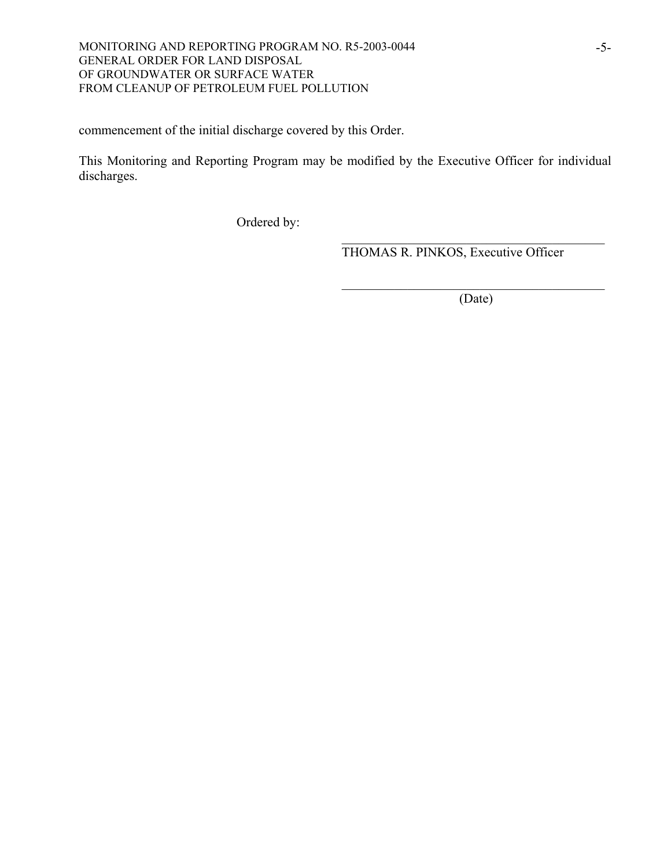commencement of the initial discharge covered by this Order.

This Monitoring and Reporting Program may be modified by the Executive Officer for individual discharges.

 $\mathcal{L}_\mathcal{L} = \{ \mathcal{L}_\mathcal{L} \mid \mathcal{L}_\mathcal{L} \in \mathcal{L}_\mathcal{L} \}$ 

 $\mathcal{L}_\text{max}$  and  $\mathcal{L}_\text{max}$  and  $\mathcal{L}_\text{max}$  and  $\mathcal{L}_\text{max}$  and  $\mathcal{L}_\text{max}$ 

Ordered by:

THOMAS R. PINKOS, Executive Officer

(Date)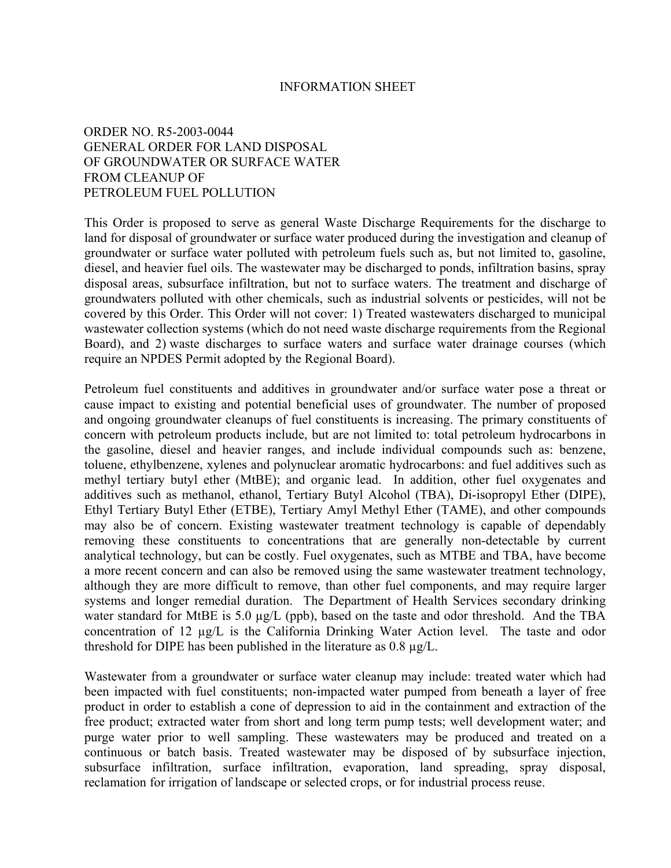#### INFORMATION SHEET

## ORDER NO. R5-2003-0044 GENERAL ORDER FOR LAND DISPOSAL OF GROUNDWATER OR SURFACE WATER FROM CLEANUP OF PETROLEUM FUEL POLLUTION

This Order is proposed to serve as general Waste Discharge Requirements for the discharge to land for disposal of groundwater or surface water produced during the investigation and cleanup of groundwater or surface water polluted with petroleum fuels such as, but not limited to, gasoline, diesel, and heavier fuel oils. The wastewater may be discharged to ponds, infiltration basins, spray disposal areas, subsurface infiltration, but not to surface waters. The treatment and discharge of groundwaters polluted with other chemicals, such as industrial solvents or pesticides, will not be covered by this Order. This Order will not cover: 1) Treated wastewaters discharged to municipal wastewater collection systems (which do not need waste discharge requirements from the Regional Board), and 2) waste discharges to surface waters and surface water drainage courses (which require an NPDES Permit adopted by the Regional Board).

Petroleum fuel constituents and additives in groundwater and/or surface water pose a threat or cause impact to existing and potential beneficial uses of groundwater. The number of proposed and ongoing groundwater cleanups of fuel constituents is increasing. The primary constituents of concern with petroleum products include, but are not limited to: total petroleum hydrocarbons in the gasoline, diesel and heavier ranges, and include individual compounds such as: benzene, toluene, ethylbenzene, xylenes and polynuclear aromatic hydrocarbons: and fuel additives such as methyl tertiary butyl ether (MtBE); and organic lead. In addition, other fuel oxygenates and additives such as methanol, ethanol, Tertiary Butyl Alcohol (TBA), Di-isopropyl Ether (DIPE), Ethyl Tertiary Butyl Ether (ETBE), Tertiary Amyl Methyl Ether (TAME), and other compounds may also be of concern. Existing wastewater treatment technology is capable of dependably removing these constituents to concentrations that are generally non-detectable by current analytical technology, but can be costly. Fuel oxygenates, such as MTBE and TBA, have become a more recent concern and can also be removed using the same wastewater treatment technology, although they are more difficult to remove, than other fuel components, and may require larger systems and longer remedial duration. The Department of Health Services secondary drinking water standard for MtBE is 5.0  $\mu$ g/L (ppb), based on the taste and odor threshold. And the TBA concentration of 12 µg/L is the California Drinking Water Action level. The taste and odor threshold for DIPE has been published in the literature as 0.8 µg/L.

Wastewater from a groundwater or surface water cleanup may include: treated water which had been impacted with fuel constituents; non-impacted water pumped from beneath a layer of free product in order to establish a cone of depression to aid in the containment and extraction of the free product; extracted water from short and long term pump tests; well development water; and purge water prior to well sampling. These wastewaters may be produced and treated on a continuous or batch basis. Treated wastewater may be disposed of by subsurface injection, subsurface infiltration, surface infiltration, evaporation, land spreading, spray disposal, reclamation for irrigation of landscape or selected crops, or for industrial process reuse.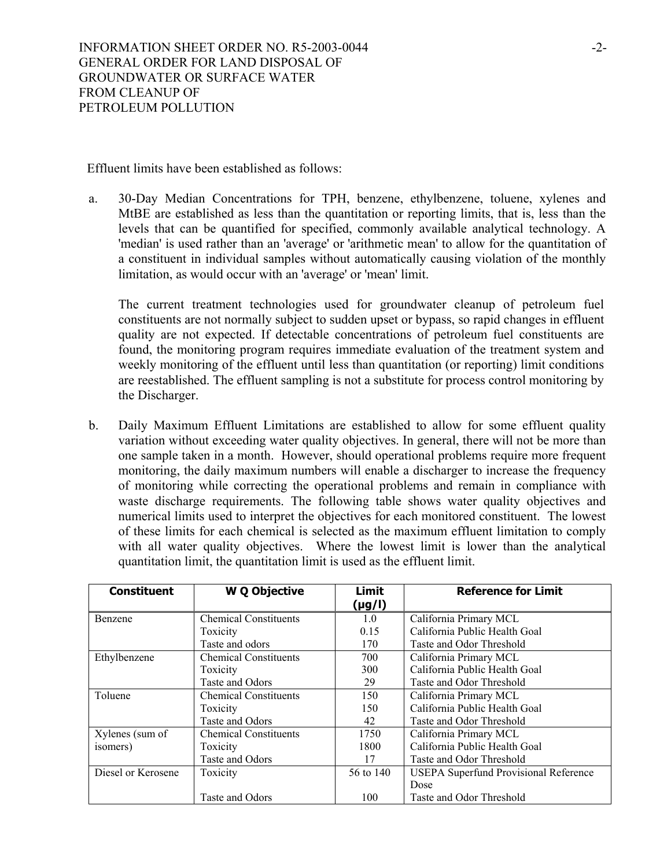Effluent limits have been established as follows:

a. 30-Day Median Concentrations for TPH, benzene, ethylbenzene, toluene, xylenes and MtBE are established as less than the quantitation or reporting limits, that is, less than the levels that can be quantified for specified, commonly available analytical technology. A 'median' is used rather than an 'average' or 'arithmetic mean' to allow for the quantitation of a constituent in individual samples without automatically causing violation of the monthly limitation, as would occur with an 'average' or 'mean' limit.

The current treatment technologies used for groundwater cleanup of petroleum fuel constituents are not normally subject to sudden upset or bypass, so rapid changes in effluent quality are not expected. If detectable concentrations of petroleum fuel constituents are found, the monitoring program requires immediate evaluation of the treatment system and weekly monitoring of the effluent until less than quantitation (or reporting) limit conditions are reestablished. The effluent sampling is not a substitute for process control monitoring by the Discharger.

b. Daily Maximum Effluent Limitations are established to allow for some effluent quality variation without exceeding water quality objectives. In general, there will not be more than one sample taken in a month. However, should operational problems require more frequent monitoring, the daily maximum numbers will enable a discharger to increase the frequency of monitoring while correcting the operational problems and remain in compliance with waste discharge requirements. The following table shows water quality objectives and numerical limits used to interpret the objectives for each monitored constituent. The lowest of these limits for each chemical is selected as the maximum effluent limitation to comply with all water quality objectives. Where the lowest limit is lower than the analytical quantitation limit, the quantitation limit is used as the effluent limit.

| <b>Constituent</b> | <b>W Q Objective</b>         | Limit<br>(µg/l) | <b>Reference for Limit</b>                   |
|--------------------|------------------------------|-----------------|----------------------------------------------|
| <b>Benzene</b>     | <b>Chemical Constituents</b> | 1.0             | California Primary MCL                       |
|                    | Toxicity                     | 0.15            | California Public Health Goal                |
|                    | Taste and odors              | 170             | Taste and Odor Threshold                     |
| Ethylbenzene       | <b>Chemical Constituents</b> | 700             | California Primary MCL                       |
|                    | Toxicity                     | 300             | California Public Health Goal                |
|                    | Taste and Odors              | 29              | Taste and Odor Threshold                     |
| Toluene            | <b>Chemical Constituents</b> | 150             | California Primary MCL                       |
|                    | Toxicity                     | 150             | California Public Health Goal                |
|                    | Taste and Odors              | 42              | Taste and Odor Threshold                     |
| Xylenes (sum of    | <b>Chemical Constituents</b> | 1750            | California Primary MCL                       |
| isomers)           | Toxicity                     | 1800            | California Public Health Goal                |
|                    | Taste and Odors              | 17              | Taste and Odor Threshold                     |
| Diesel or Kerosene | Toxicity                     | 56 to 140       | <b>USEPA Superfund Provisional Reference</b> |
|                    |                              |                 | Dose                                         |
|                    | Taste and Odors              | 100             | Taste and Odor Threshold                     |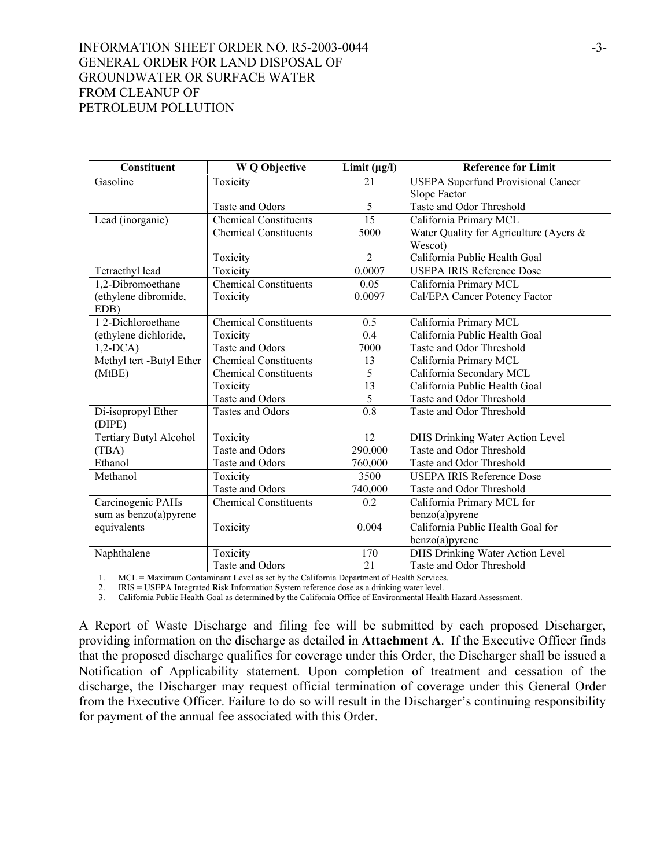# INFORMATION SHEET ORDER NO. R5-2003-0044 -3-GENERAL ORDER FOR LAND DISPOSAL OF GROUNDWATER OR SURFACE WATER FROM CLEANUP OF PETROLEUM POLLUTION

| Constituent              | <b>WQ</b> Objective          | Limit $(\mu g/I)$ | <b>Reference for Limit</b>                |
|--------------------------|------------------------------|-------------------|-------------------------------------------|
| Gasoline                 | Toxicity                     | 21                | <b>USEPA Superfund Provisional Cancer</b> |
|                          |                              |                   | Slope Factor                              |
|                          | Taste and Odors              | 5                 | Taste and Odor Threshold                  |
| Lead (inorganic)         | <b>Chemical Constituents</b> | $\overline{15}$   | California Primary MCL                    |
|                          | <b>Chemical Constituents</b> | 5000              | Water Quality for Agriculture (Ayers &    |
|                          |                              |                   | Wescot)                                   |
|                          | Toxicity                     | $\overline{2}$    | California Public Health Goal             |
| Tetraethyl lead          | Toxicity                     | 0.0007            | <b>USEPA IRIS Reference Dose</b>          |
| 1,2-Dibromoethane        | <b>Chemical Constituents</b> | 0.05              | California Primary MCL                    |
| (ethylene dibromide,     | Toxicity                     | 0.0097            | Cal/EPA Cancer Potency Factor             |
| EDB)                     |                              |                   |                                           |
| 12-Dichloroethane        | <b>Chemical Constituents</b> | 0.5               | California Primary MCL                    |
| (ethylene dichloride,    | Toxicity                     | 0.4               | California Public Health Goal             |
| $1,2-DCA$                | Taste and Odors              | 7000              | Taste and Odor Threshold                  |
| Methyl tert -Butyl Ether | <b>Chemical Constituents</b> | 13                | California Primary MCL                    |
| (MtBE)                   | <b>Chemical Constituents</b> | 5                 | California Secondary MCL                  |
|                          | Toxicity                     | 13                | California Public Health Goal             |
|                          | Taste and Odors              | 5                 | Taste and Odor Threshold                  |
| Di-isopropyl Ether       | Tastes and Odors             | 0.8               | Taste and Odor Threshold                  |
| (DIPE)                   |                              |                   |                                           |
| Tertiary Butyl Alcohol   | Toxicity                     | 12                | <b>DHS Drinking Water Action Level</b>    |
| (TBA)                    | Taste and Odors              | 290,000           | Taste and Odor Threshold                  |
| Ethanol                  | Taste and Odors              | 760,000           | Taste and Odor Threshold                  |
| Methanol                 | Toxicity                     | 3500              | <b>USEPA IRIS Reference Dose</b>          |
|                          | Taste and Odors              | 740,000           | Taste and Odor Threshold                  |
| Carcinogenic PAHs-       | <b>Chemical Constituents</b> | 0.2               | California Primary MCL for                |
| sum as benzo(a)pyrene    |                              |                   | $benzo(a)$ pyrene                         |
| equivalents              | Toxicity                     | 0.004             | California Public Health Goal for         |
|                          |                              |                   | $benzo(a)$ pyrene                         |
| Naphthalene              | Toxicity                     | 170               | <b>DHS Drinking Water Action Level</b>    |
|                          | Taste and Odors              | 21                | Taste and Odor Threshold                  |

1. MCL = **M**aximum **C**ontaminant **L**evel as set by the California Department of Health Services.

2. IRIS = USEPA **I**ntegrated **R**isk **I**nformation **S**ystem reference dose as a drinking water level.

3. California Public Health Goal as determined by the California Office of Environmental Health Hazard Assessment.

A Report of Waste Discharge and filing fee will be submitted by each proposed Discharger, providing information on the discharge as detailed in **Attachment A**. If the Executive Officer finds that the proposed discharge qualifies for coverage under this Order, the Discharger shall be issued a Notification of Applicability statement. Upon completion of treatment and cessation of the discharge, the Discharger may request official termination of coverage under this General Order from the Executive Officer. Failure to do so will result in the Discharger's continuing responsibility for payment of the annual fee associated with this Order.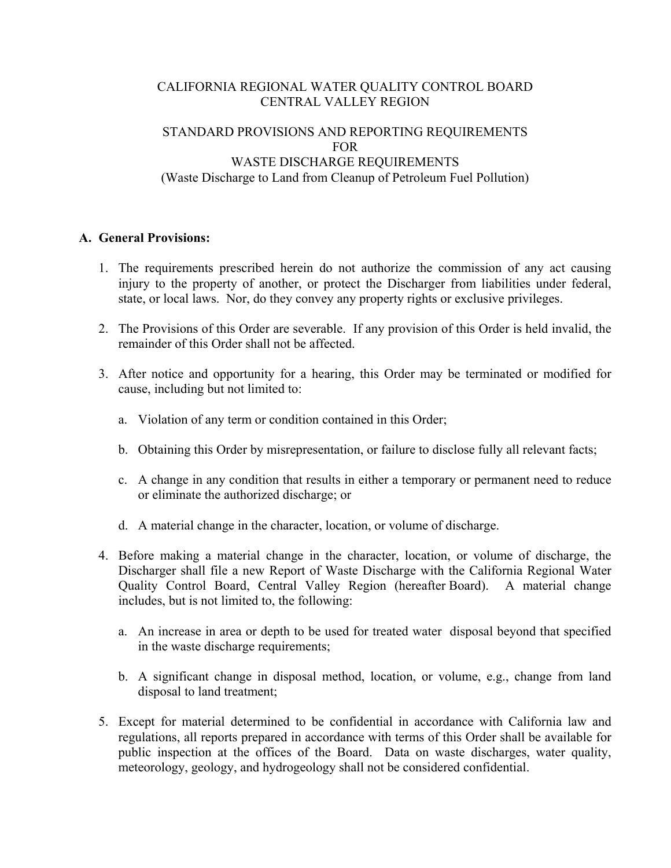# CALIFORNIA REGIONAL WATER QUALITY CONTROL BOARD CENTRAL VALLEY REGION

# STANDARD PROVISIONS AND REPORTING REQUIREMENTS FOR WASTE DISCHARGE REQUIREMENTS (Waste Discharge to Land from Cleanup of Petroleum Fuel Pollution)

# **A. General Provisions:**

- 1. The requirements prescribed herein do not authorize the commission of any act causing injury to the property of another, or protect the Discharger from liabilities under federal, state, or local laws. Nor, do they convey any property rights or exclusive privileges.
- 2. The Provisions of this Order are severable. If any provision of this Order is held invalid, the remainder of this Order shall not be affected.
- 3. After notice and opportunity for a hearing, this Order may be terminated or modified for cause, including but not limited to:
	- a. Violation of any term or condition contained in this Order;
	- b. Obtaining this Order by misrepresentation, or failure to disclose fully all relevant facts;
	- c. A change in any condition that results in either a temporary or permanent need to reduce or eliminate the authorized discharge; or
	- d. A material change in the character, location, or volume of discharge.
- 4. Before making a material change in the character, location, or volume of discharge, the Discharger shall file a new Report of Waste Discharge with the California Regional Water Quality Control Board, Central Valley Region (hereafter Board). A material change includes, but is not limited to, the following:
	- a. An increase in area or depth to be used for treated water disposal beyond that specified in the waste discharge requirements;
	- b. A significant change in disposal method, location, or volume, e.g., change from land disposal to land treatment;
- 5. Except for material determined to be confidential in accordance with California law and regulations, all reports prepared in accordance with terms of this Order shall be available for public inspection at the offices of the Board. Data on waste discharges, water quality, meteorology, geology, and hydrogeology shall not be considered confidential.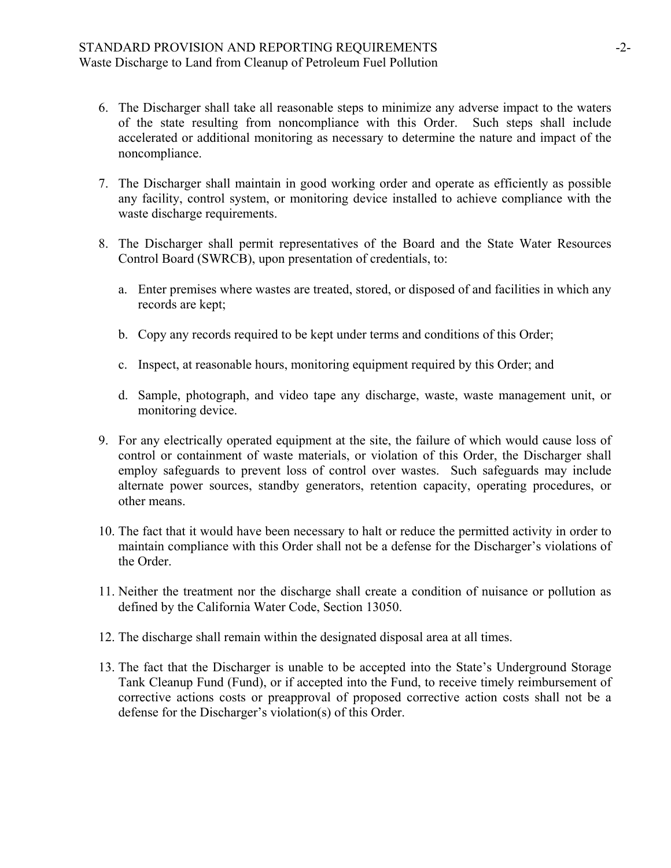- 6. The Discharger shall take all reasonable steps to minimize any adverse impact to the waters of the state resulting from noncompliance with this Order. Such steps shall include accelerated or additional monitoring as necessary to determine the nature and impact of the noncompliance.
- 7. The Discharger shall maintain in good working order and operate as efficiently as possible any facility, control system, or monitoring device installed to achieve compliance with the waste discharge requirements.
- 8. The Discharger shall permit representatives of the Board and the State Water Resources Control Board (SWRCB), upon presentation of credentials, to:
	- a. Enter premises where wastes are treated, stored, or disposed of and facilities in which any records are kept;
	- b. Copy any records required to be kept under terms and conditions of this Order;
	- c. Inspect, at reasonable hours, monitoring equipment required by this Order; and
	- d. Sample, photograph, and video tape any discharge, waste, waste management unit, or monitoring device.
- 9. For any electrically operated equipment at the site, the failure of which would cause loss of control or containment of waste materials, or violation of this Order, the Discharger shall employ safeguards to prevent loss of control over wastes. Such safeguards may include alternate power sources, standby generators, retention capacity, operating procedures, or other means.
- 10. The fact that it would have been necessary to halt or reduce the permitted activity in order to maintain compliance with this Order shall not be a defense for the Discharger's violations of the Order.
- 11. Neither the treatment nor the discharge shall create a condition of nuisance or pollution as defined by the California Water Code, Section 13050.
- 12. The discharge shall remain within the designated disposal area at all times.
- 13. The fact that the Discharger is unable to be accepted into the State's Underground Storage Tank Cleanup Fund (Fund), or if accepted into the Fund, to receive timely reimbursement of corrective actions costs or preapproval of proposed corrective action costs shall not be a defense for the Discharger's violation(s) of this Order.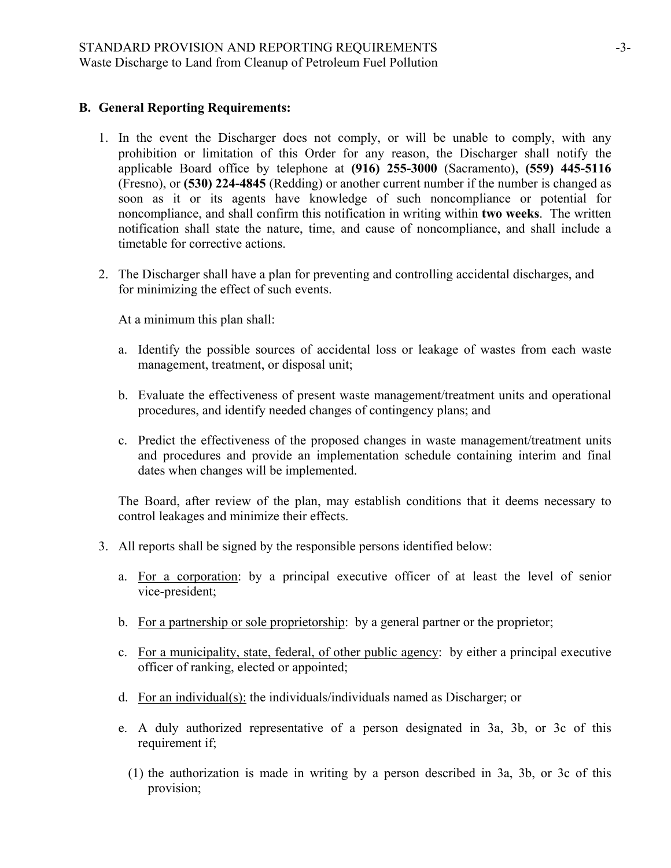# **B. General Reporting Requirements:**

- 1. In the event the Discharger does not comply, or will be unable to comply, with any prohibition or limitation of this Order for any reason, the Discharger shall notify the applicable Board office by telephone at **(916) 255-3000** (Sacramento), **(559) 445-5116**  (Fresno), or **(530) 224-4845** (Redding) or another current number if the number is changed as soon as it or its agents have knowledge of such noncompliance or potential for noncompliance, and shall confirm this notification in writing within **two weeks**. The written notification shall state the nature, time, and cause of noncompliance, and shall include a timetable for corrective actions.
- 2. The Discharger shall have a plan for preventing and controlling accidental discharges, and for minimizing the effect of such events.

At a minimum this plan shall:

- a. Identify the possible sources of accidental loss or leakage of wastes from each waste management, treatment, or disposal unit;
- b. Evaluate the effectiveness of present waste management/treatment units and operational procedures, and identify needed changes of contingency plans; and
- c. Predict the effectiveness of the proposed changes in waste management/treatment units and procedures and provide an implementation schedule containing interim and final dates when changes will be implemented.

The Board, after review of the plan, may establish conditions that it deems necessary to control leakages and minimize their effects.

- 3. All reports shall be signed by the responsible persons identified below:
	- a. For a corporation: by a principal executive officer of at least the level of senior vice-president;
	- b. For a partnership or sole proprietorship: by a general partner or the proprietor;
	- c. For a municipality, state, federal, of other public agency: by either a principal executive officer of ranking, elected or appointed;
	- d. For an individual(s): the individuals/individuals named as Discharger; or
	- e. A duly authorized representative of a person designated in 3a, 3b, or 3c of this requirement if;
		- (1) the authorization is made in writing by a person described in 3a, 3b, or 3c of this provision;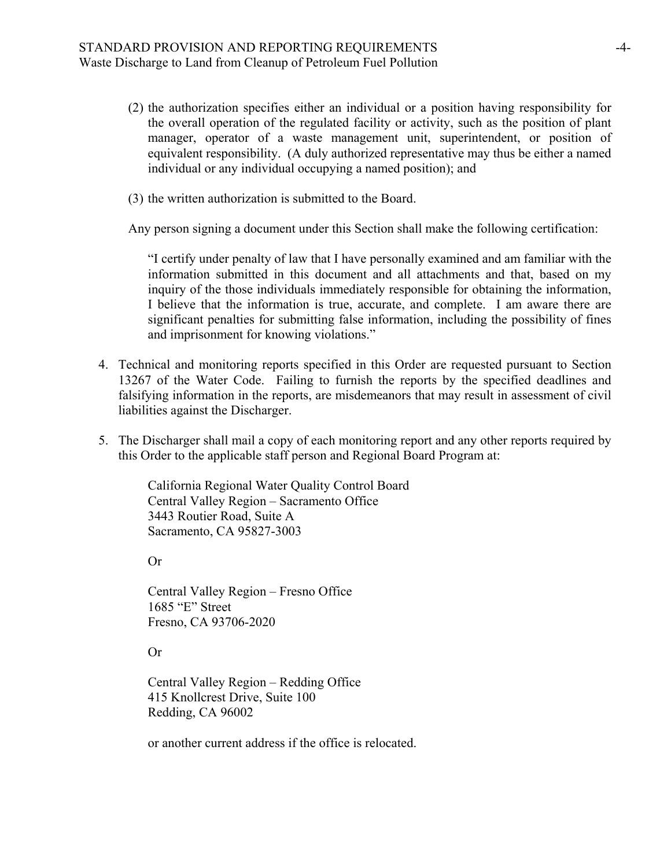- (2) the authorization specifies either an individual or a position having responsibility for the overall operation of the regulated facility or activity, such as the position of plant manager, operator of a waste management unit, superintendent, or position of equivalent responsibility. (A duly authorized representative may thus be either a named individual or any individual occupying a named position); and
- (3) the written authorization is submitted to the Board.

Any person signing a document under this Section shall make the following certification:

"I certify under penalty of law that I have personally examined and am familiar with the information submitted in this document and all attachments and that, based on my inquiry of the those individuals immediately responsible for obtaining the information, I believe that the information is true, accurate, and complete. I am aware there are significant penalties for submitting false information, including the possibility of fines and imprisonment for knowing violations."

- 4. Technical and monitoring reports specified in this Order are requested pursuant to Section 13267 of the Water Code. Failing to furnish the reports by the specified deadlines and falsifying information in the reports, are misdemeanors that may result in assessment of civil liabilities against the Discharger.
- 5. The Discharger shall mail a copy of each monitoring report and any other reports required by this Order to the applicable staff person and Regional Board Program at:

California Regional Water Quality Control Board Central Valley Region – Sacramento Office 3443 Routier Road, Suite A Sacramento, CA 95827-3003

Or

Central Valley Region – Fresno Office 1685 "E" Street Fresno, CA 93706-2020

Or

Central Valley Region – Redding Office 415 Knollcrest Drive, Suite 100 Redding, CA 96002

or another current address if the office is relocated.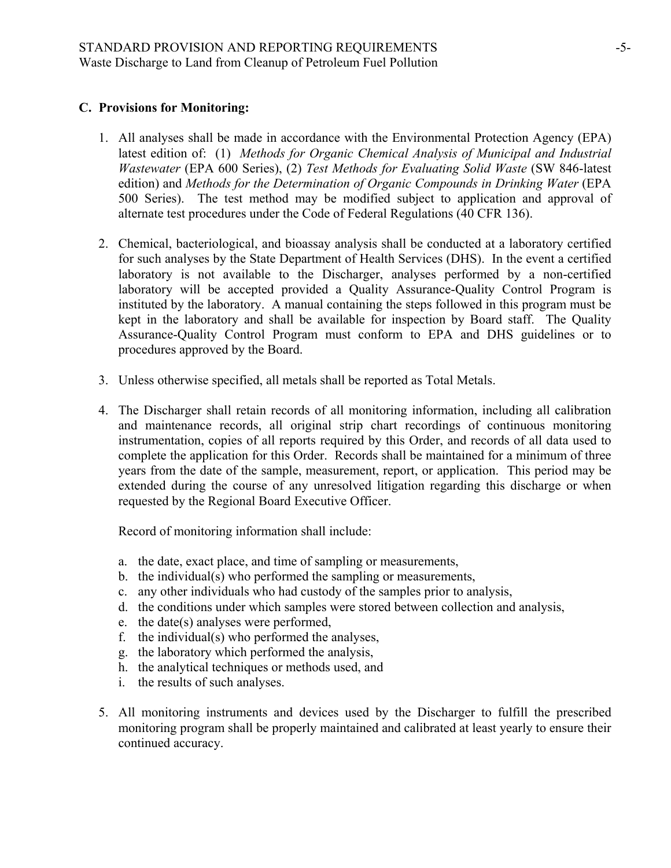# **C. Provisions for Monitoring:**

- 1. All analyses shall be made in accordance with the Environmental Protection Agency (EPA) latest edition of: (1) *Methods for Organic Chemical Analysis of Municipal and Industrial Wastewater* (EPA 600 Series), (2) *Test Methods for Evaluating Solid Waste* (SW 846-latest edition) and *Methods for the Determination of Organic Compounds in Drinking Water* (EPA 500 Series). The test method may be modified subject to application and approval of alternate test procedures under the Code of Federal Regulations (40 CFR 136).
- 2. Chemical, bacteriological, and bioassay analysis shall be conducted at a laboratory certified for such analyses by the State Department of Health Services (DHS). In the event a certified laboratory is not available to the Discharger, analyses performed by a non-certified laboratory will be accepted provided a Quality Assurance-Quality Control Program is instituted by the laboratory. A manual containing the steps followed in this program must be kept in the laboratory and shall be available for inspection by Board staff. The Quality Assurance-Quality Control Program must conform to EPA and DHS guidelines or to procedures approved by the Board.
- 3. Unless otherwise specified, all metals shall be reported as Total Metals.
- 4. The Discharger shall retain records of all monitoring information, including all calibration and maintenance records, all original strip chart recordings of continuous monitoring instrumentation, copies of all reports required by this Order, and records of all data used to complete the application for this Order. Records shall be maintained for a minimum of three years from the date of the sample, measurement, report, or application. This period may be extended during the course of any unresolved litigation regarding this discharge or when requested by the Regional Board Executive Officer.

Record of monitoring information shall include:

- a. the date, exact place, and time of sampling or measurements,
- b. the individual(s) who performed the sampling or measurements,
- c. any other individuals who had custody of the samples prior to analysis,
- d. the conditions under which samples were stored between collection and analysis,
- e. the date(s) analyses were performed,
- f. the individual(s) who performed the analyses,
- g. the laboratory which performed the analysis,
- h. the analytical techniques or methods used, and
- i. the results of such analyses.
- 5. All monitoring instruments and devices used by the Discharger to fulfill the prescribed monitoring program shall be properly maintained and calibrated at least yearly to ensure their continued accuracy.